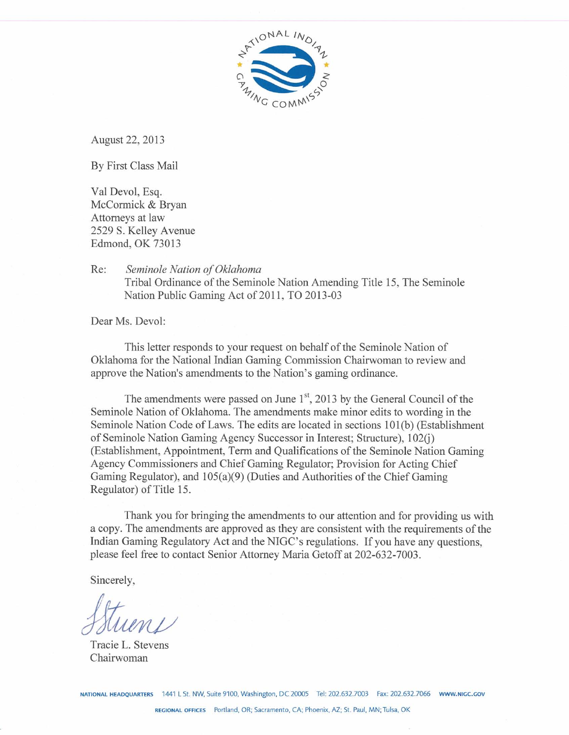

August 22,2013

By First Class Mail

Val Devol, Esq. McCormick & Bryan Attorneys at law 2529 S. Kelley Avenue Edmond, OK 73013

#### Re: *Seminole Nation of Oklahoma*  Tribal Ordinance of the Seminole Nation Amending Title 15, The Seminole Nation Public Gaming Act of 2011, TO 2013-03

Dear Ms. Devol:

This letter responds to your request on behalf of the Seminole Nation of Oklahoma for the National Indian Gaming Commission Chairwoman to review and approve the Nation's amendments to the Nation's gaming ordinance.

The amendments were passed on June  $1<sup>st</sup>$ , 2013 by the General Council of the Seminole Nation of Oklahoma. The amendments make minor edits to wording in the Seminole Nation Code of Laws. The edits **are** located in sections 101(b) (Establishment of Seminole Nation Gaming Agency Successor in Interest; Structure), 102(j) (Establishment, Appointment, Term and Qualifications of the Seminole Nation Gaming Agency Commissioners and Chief Gaming Regulator; Provision for Acting Chief Gaming Regulator), and 105(a)(9) (Duties and Authorities of the Chief Gaming Regulator) of Title 15.

Thank you for bringing the amendments to our attention and for providing us with a copy. The amendments are approved as they are consistent with the requirements of the Indian Gaming Regulatory Act and the NIGC's regulations. If you have any questions, please feel free to contact Senior Attorney Maria Getoff at 202-632-7003.

Sincerely,

Tracie L. Stevens Chairwoman

**NATIONAL HEACQUARTERI. 1441 L St. NW, Suite 91W. Washington,** DC **20005 Tel: 202.632.7003 Fax: 202.632.7066 W.NlGc.GOV**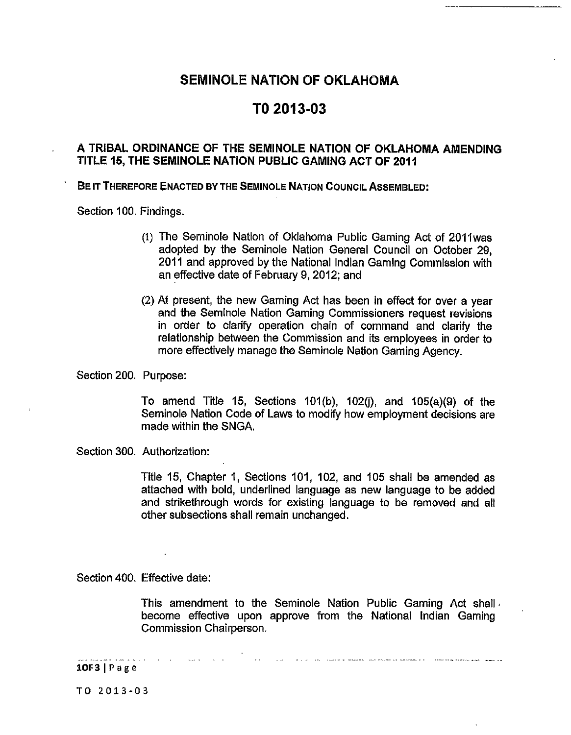# **SEMINOLE NATION OF OKLAHOMA**

# T0 2013-03

#### A TRIBAL ORDINANCE OF THE SEMINOLE NATION OF OKLAHOMA AMENDING TITLE **15,** THE SEMINOLE NATION PUBLIC GAMING ACT OF **2011**

BE IT THEREFORE ENACTED BY THE SEMINOLE NATION COUNCIL ASSEMBLED:

Section 100. Findings.

- **(1)** The Seminole Nation of Oklahoma Public Gaming Act of 20lIwas no Seminole Nation Greekalisma Pablo Saming Act of 2011 was<br>adopted by the Seminole National Indian Gaming Commission with<br>an offerthing the California Distance of Theory of Caming Commission with an effective date of February 9, 2012; and
- (2) At present, the new Gaming Act has been in effect for over a year and the Seminole Nation Gaming Commissioners request revisions in order to clarify operation chain of command and clarify the relationship between the Commission and its employees in order to more effectively manage the Seminole Nation Gaming Agency.

Section 200. Purpose:

To amend Title **15,** Sections 101(b), 102(j), and 105(a)(9) of the Seminole Nation Code of Laws to modify how employment decisions are made within the SNGA.

Section 300. Authorization:

Title 15, Chapter 'I, Sections 101, 102, and 105 shall be amended as attached with bold, underlined language as new language to be added and strikethrough words for existing language to be removed and all other subsections shall remain unchanged.

Section 400. Effective date:

 $\frac{1}{2}$ 

This amendment to the Seminole Nation Public Gaming Act shall. become effective upon approve from the National Indian Gaming Commission Chairperson.

.<br>The company applies the company of the second service and the company of the second sequence and the company a

 $10F3$ |Page

TO 2013-03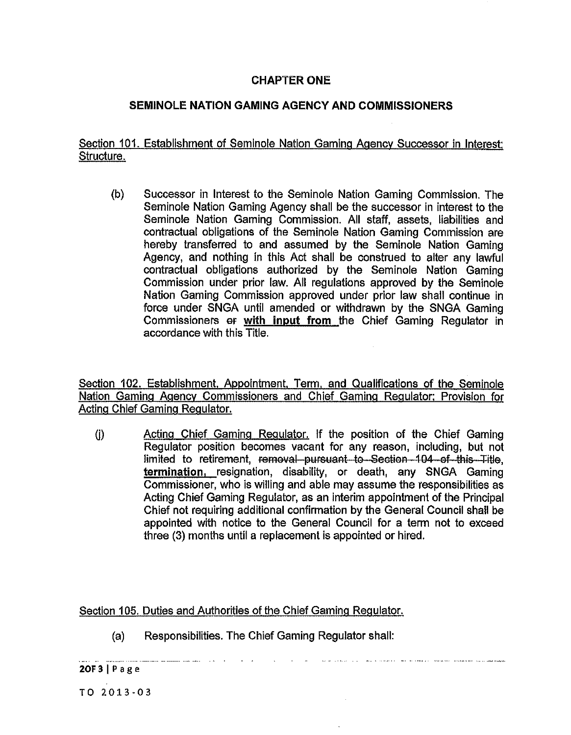# CHAPTER ONE

## SEMINOLE NATION GAMING AGENCY AND COMMISSIONERS

### Section 101. Establishment of Seminole Nation Gamina Aaencv Successor in Interest; Structure.

(b) Successor in lnterest to the Seminole Nation Gaming Commission. The Seminole Nation Gaming Agency shall be the successor in interest to the Seminole Nation Gaming Commission. All staff, assets, liabilities and contractual obligations of the Seminole Nation Gaming Commission are hereby transferred to and assumed by the Seminole Nation Gaming Agency, and nothing in this Act shall be construed to alter any lawful contractual obligations authorized by the Seminole Nation Gaming Commission under prior law. All regulations approved by the Seminole Nation Gaming Commission approved under prior law shall continue in force under SNGA until amended or withdrawn by the SNGA Gaming Commissioners er with input from the Chief Gaming Regulator in accordance with this Title.

Section 102. Establishment. Appointment. Term, and Qualifications of the Seminole Nation Gaming Agency Commissioners and Chief Gaming Regulator; Provision for Actina Chief Gamina Reaulator.

**(i)** Acting Chief Gamina Requlator. If the position of the Chief Gaming Regulator position becomes vacant for any reason, including, but not Acting Chief Gaming Regulator. If the position of the Chief Gaming<br>Regulator position becomes vacant for any reason, including, but not<br>limited to retirement, removal pursuant to Section 104 of this Title,<br>termination, res termination, resignation, disability, or death, any SNGA Gaming Commissioner, who is willing and able may assume the responsibilities as Acting Chief Gaming Regulator, as an interim appointment of the Principal Chief not requiring additional confirmation by the General Council shall be appointed with notice to the General Council for a term not to exceed three (3) months until a replacement is appointed or hired.

, ., . , . .. ,, , ,... . . . - - .. - . .- . . . . . . . . . ~., .. . .... ..~

Section 105. Duties and Authorities of the Chief Gaminq Reaulator.

(a) Responsibilities. The Chief Gaming Regulator shall:

**20F3 1 Page** 

TO 2013-03